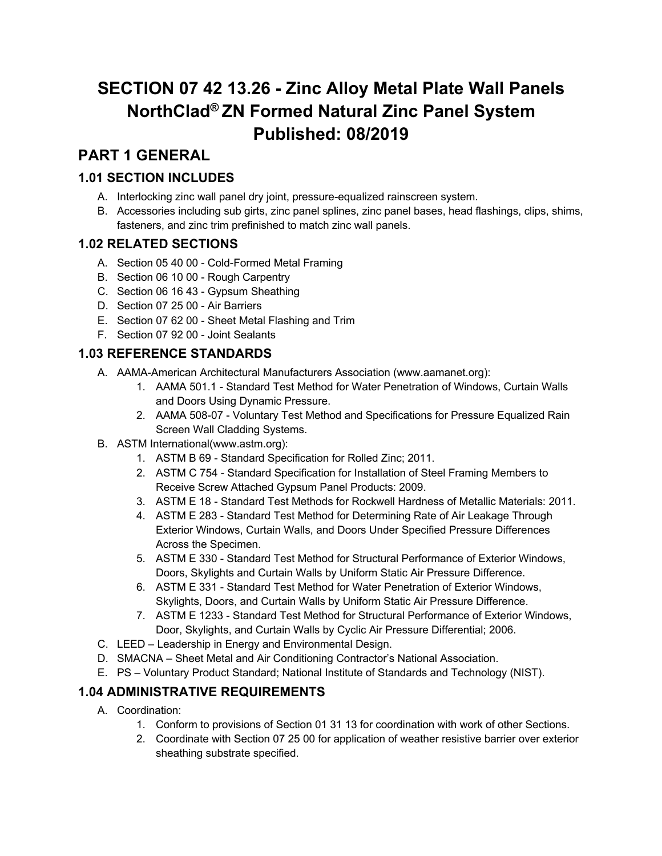# **SECTION 07 42 13.26 - Zinc Alloy Metal Plate Wall Panels NorthClad® ZN Formed Natural Zinc Panel System Published: 08/2019**

# **PART 1 GENERAL**

# **1.01 SECTION INCLUDES**

- A. Interlocking zinc wall panel dry joint, pressure-equalized rainscreen system.
- B. Accessories including sub girts, zinc panel splines, zinc panel bases, head flashings, clips, shims, fasteners, and zinc trim prefinished to match zinc wall panels.

# **1.02 RELATED SECTIONS**

- A. Section 05 40 00 Cold-Formed Metal Framing
- B. Section 06 10 00 Rough Carpentry
- C. Section 06 16 43 Gypsum Sheathing
- D. Section 07 25 00 Air Barriers
- E. Section 07 62 00 Sheet Metal Flashing and Trim
- F. Section 07 92 00 Joint Sealants

# **1.03 REFERENCE STANDARDS**

- A. AAMA-American Architectural Manufacturers Association (www.aamanet.org):
	- 1. AAMA 501.1 Standard Test Method for Water Penetration of Windows, Curtain Walls and Doors Using Dynamic Pressure.
	- 2. AAMA 508-07 Voluntary Test Method and Specifications for Pressure Equalized Rain Screen Wall Cladding Systems.
- B. ASTM International(www.astm.org):
	- 1. ASTM B 69 Standard Specification for Rolled Zinc; 2011.
	- 2. ASTM C 754 Standard Specification for Installation of Steel Framing Members to Receive Screw Attached Gypsum Panel Products: 2009.
	- 3. ASTM E 18 Standard Test Methods for Rockwell Hardness of Metallic Materials: 2011.
	- 4. ASTM E 283 Standard Test Method for Determining Rate of Air Leakage Through Exterior Windows, Curtain Walls, and Doors Under Specified Pressure Differences Across the Specimen.
	- 5. ASTM E 330 Standard Test Method for Structural Performance of Exterior Windows, Doors, Skylights and Curtain Walls by Uniform Static Air Pressure Difference.
	- 6. ASTM E 331 Standard Test Method for Water Penetration of Exterior Windows, Skylights, Doors, and Curtain Walls by Uniform Static Air Pressure Difference.
	- 7. ASTM E 1233 Standard Test Method for Structural Performance of Exterior Windows, Door, Skylights, and Curtain Walls by Cyclic Air Pressure Differential; 2006.
- C. LEED Leadership in Energy and Environmental Design.
- D. SMACNA Sheet Metal and Air Conditioning Contractor's National Association.
- E. PS Voluntary Product Standard; National Institute of Standards and Technology (NIST).

# **1.04 ADMINISTRATIVE REQUIREMENTS**

- A. Coordination:
	- 1. Conform to provisions of Section 01 31 13 for coordination with work of other Sections.
	- 2. Coordinate with Section 07 25 00 for application of weather resistive barrier over exterior sheathing substrate specified.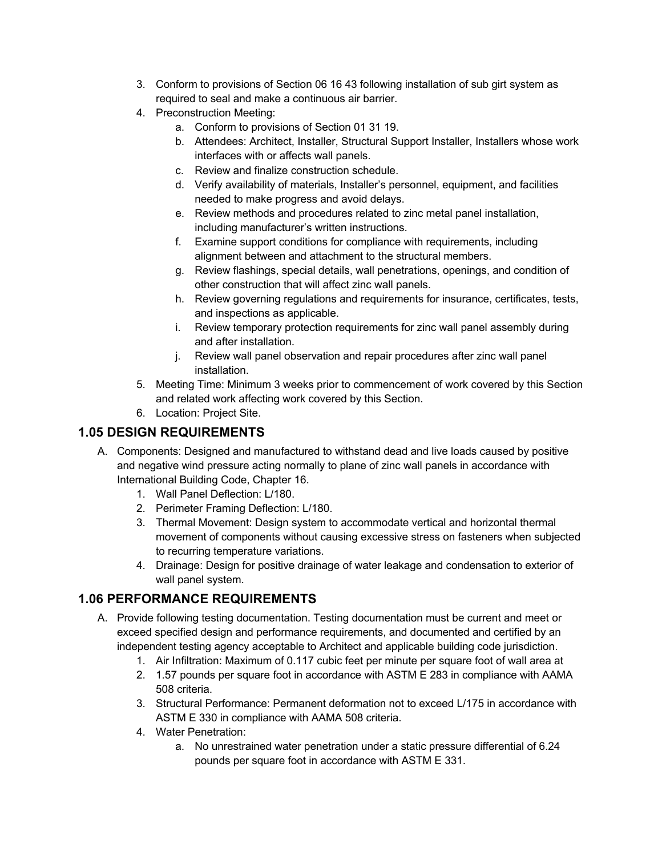- 3. Conform to provisions of Section 06 16 43 following installation of sub girt system as required to seal and make a continuous air barrier.
- 4. Preconstruction Meeting:
	- a. Conform to provisions of Section 01 31 19.
	- b. Attendees: Architect, Installer, Structural Support Installer, Installers whose work interfaces with or affects wall panels.
	- c. Review and finalize construction schedule.
	- d. Verify availability of materials, Installer's personnel, equipment, and facilities needed to make progress and avoid delays.
	- e. Review methods and procedures related to zinc metal panel installation, including manufacturer's written instructions.
	- f. Examine support conditions for compliance with requirements, including alignment between and attachment to the structural members.
	- g. Review flashings, special details, wall penetrations, openings, and condition of other construction that will affect zinc wall panels.
	- h. Review governing regulations and requirements for insurance, certificates, tests, and inspections as applicable.
	- i. Review temporary protection requirements for zinc wall panel assembly during and after installation.
	- j. Review wall panel observation and repair procedures after zinc wall panel installation.
- 5. Meeting Time: Minimum 3 weeks prior to commencement of work covered by this Section and related work affecting work covered by this Section.
- 6. Location: Project Site.

# **1.05 DESIGN REQUIREMENTS**

- A. Components: Designed and manufactured to withstand dead and live loads caused by positive and negative wind pressure acting normally to plane of zinc wall panels in accordance with International Building Code, Chapter 16.
	- 1. Wall Panel Deflection: L/180.
	- 2. Perimeter Framing Deflection: L/180.
	- 3. Thermal Movement: Design system to accommodate vertical and horizontal thermal movement of components without causing excessive stress on fasteners when subjected to recurring temperature variations.
	- 4. Drainage: Design for positive drainage of water leakage and condensation to exterior of wall panel system.

# **1.06 PERFORMANCE REQUIREMENTS**

- A. Provide following testing documentation. Testing documentation must be current and meet or exceed specified design and performance requirements, and documented and certified by an independent testing agency acceptable to Architect and applicable building code jurisdiction.
	- 1. Air Infiltration: Maximum of 0.117 cubic feet per minute per square foot of wall area at
	- 2. 1.57 pounds per square foot in accordance with ASTM E 283 in compliance with AAMA 508 criteria.
	- 3. Structural Performance: Permanent deformation not to exceed L/175 in accordance with ASTM E 330 in compliance with AAMA 508 criteria.
	- 4. Water Penetration:
		- a. No unrestrained water penetration under a static pressure differential of 6.24 pounds per square foot in accordance with ASTM E 331.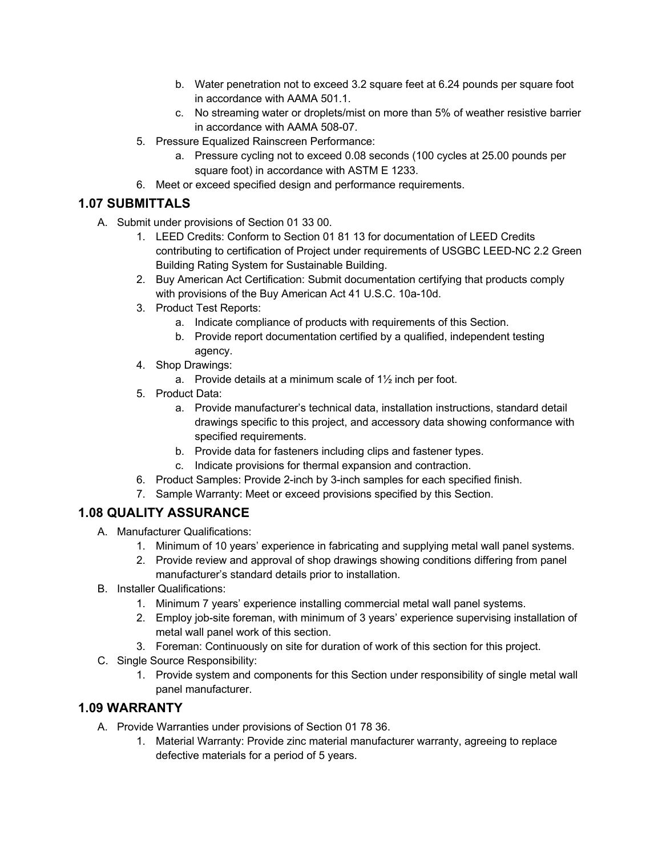- b. Water penetration not to exceed 3.2 square feet at 6.24 pounds per square foot in accordance with AAMA 501.1.
- c. No streaming water or droplets/mist on more than 5% of weather resistive barrier in accordance with AAMA 508-07.
- 5. Pressure Equalized Rainscreen Performance:
	- a. Pressure cycling not to exceed 0.08 seconds (100 cycles at 25.00 pounds per square foot) in accordance with ASTM E 1233.
- 6. Meet or exceed specified design and performance requirements.

### **1.07 SUBMITTALS**

- A. Submit under provisions of Section 01 33 00.
	- 1. LEED Credits: Conform to Section 01 81 13 for documentation of LEED Credits contributing to certification of Project under requirements of USGBC LEED-NC 2.2 Green Building Rating System for Sustainable Building.
	- 2. Buy American Act Certification: Submit documentation certifying that products comply with provisions of the Buy American Act 41 U.S.C. 10a-10d.
	- 3. Product Test Reports:
		- a. Indicate compliance of products with requirements of this Section.
		- b. Provide report documentation certified by a qualified, independent testing agency.
	- 4. Shop Drawings:
		- a. Provide details at a minimum scale of 1½ inch per foot.
	- 5. Product Data:
		- a. Provide manufacturer's technical data, installation instructions, standard detail drawings specific to this project, and accessory data showing conformance with specified requirements.
		- b. Provide data for fasteners including clips and fastener types.
		- c. Indicate provisions for thermal expansion and contraction.
	- 6. Product Samples: Provide 2-inch by 3-inch samples for each specified finish.
	- 7. Sample Warranty: Meet or exceed provisions specified by this Section.

#### **1.08 QUALITY ASSURANCE**

- A. Manufacturer Qualifications:
	- 1. Minimum of 10 years' experience in fabricating and supplying metal wall panel systems.
	- 2. Provide review and approval of shop drawings showing conditions differing from panel manufacturer's standard details prior to installation.
- B. Installer Qualifications:
	- 1. Minimum 7 years' experience installing commercial metal wall panel systems.
	- 2. Employ job-site foreman, with minimum of 3 years' experience supervising installation of metal wall panel work of this section.
	- 3. Foreman: Continuously on site for duration of work of this section for this project.
- C. Single Source Responsibility:
	- 1. Provide system and components for this Section under responsibility of single metal wall panel manufacturer.

#### **1.09 WARRANTY**

- A. Provide Warranties under provisions of Section 01 78 36.
	- 1. Material Warranty: Provide zinc material manufacturer warranty, agreeing to replace defective materials for a period of 5 years.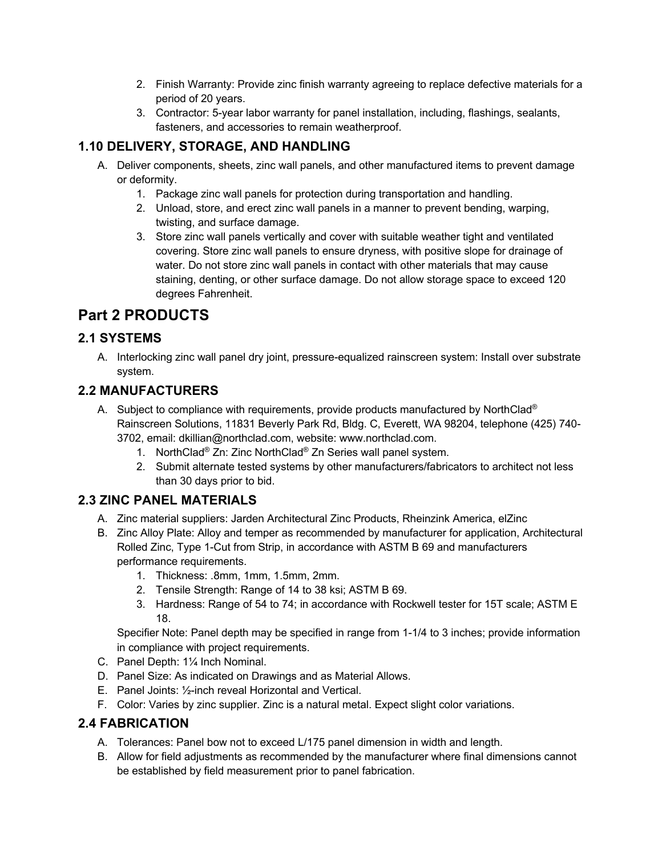- 2. Finish Warranty: Provide zinc finish warranty agreeing to replace defective materials for a period of 20 years.
- 3. Contractor: 5-year labor warranty for panel installation, including, flashings, sealants, fasteners, and accessories to remain weatherproof.

# **1.10 DELIVERY, STORAGE, AND HANDLING**

- A. Deliver components, sheets, zinc wall panels, and other manufactured items to prevent damage or deformity.
	- 1. Package zinc wall panels for protection during transportation and handling.
	- 2. Unload, store, and erect zinc wall panels in a manner to prevent bending, warping, twisting, and surface damage.
	- 3. Store zinc wall panels vertically and cover with suitable weather tight and ventilated covering. Store zinc wall panels to ensure dryness, with positive slope for drainage of water. Do not store zinc wall panels in contact with other materials that may cause staining, denting, or other surface damage. Do not allow storage space to exceed 120 degrees Fahrenheit.

# **Part 2 PRODUCTS**

# **2.1 SYSTEMS**

A. Interlocking zinc wall panel dry joint, pressure-equalized rainscreen system: Install over substrate system.

# **2.2 MANUFACTURERS**

- A. Subject to compliance with requirements, provide products manufactured by NorthClad® Rainscreen Solutions, 11831 Beverly Park Rd, Bldg. C, Everett, WA 98204, telephone (425) 740- 3702, email: dkillian@northclad.com, website: www.northclad.com.
	- 1. NorthClad® Zn: Zinc NorthClad® Zn Series wall panel system.
	- 2. Submit alternate tested systems by other manufacturers/fabricators to architect not less than 30 days prior to bid.

# **2.3 ZINC PANEL MATERIALS**

- A. Zinc material suppliers: Jarden Architectural Zinc Products, Rheinzink America, elZinc
- B. Zinc Alloy Plate: Alloy and temper as recommended by manufacturer for application, Architectural Rolled Zinc, Type 1-Cut from Strip, in accordance with ASTM B 69 and manufacturers performance requirements.
	- 1. Thickness: .8mm, 1mm, 1.5mm, 2mm.
	- 2. Tensile Strength: Range of 14 to 38 ksi; ASTM B 69.
	- 3. Hardness: Range of 54 to 74; in accordance with Rockwell tester for 15T scale; ASTM E 18.

Specifier Note: Panel depth may be specified in range from 1-1/4 to 3 inches; provide information in compliance with project requirements.

- C. Panel Depth: 1¼ Inch Nominal.
- D. Panel Size: As indicated on Drawings and as Material Allows.
- E. Panel Joints: ½-inch reveal Horizontal and Vertical.
- F. Color: Varies by zinc supplier. Zinc is a natural metal. Expect slight color variations.

# **2.4 FABRICATION**

- A. Tolerances: Panel bow not to exceed L/175 panel dimension in width and length.
- B. Allow for field adjustments as recommended by the manufacturer where final dimensions cannot be established by field measurement prior to panel fabrication.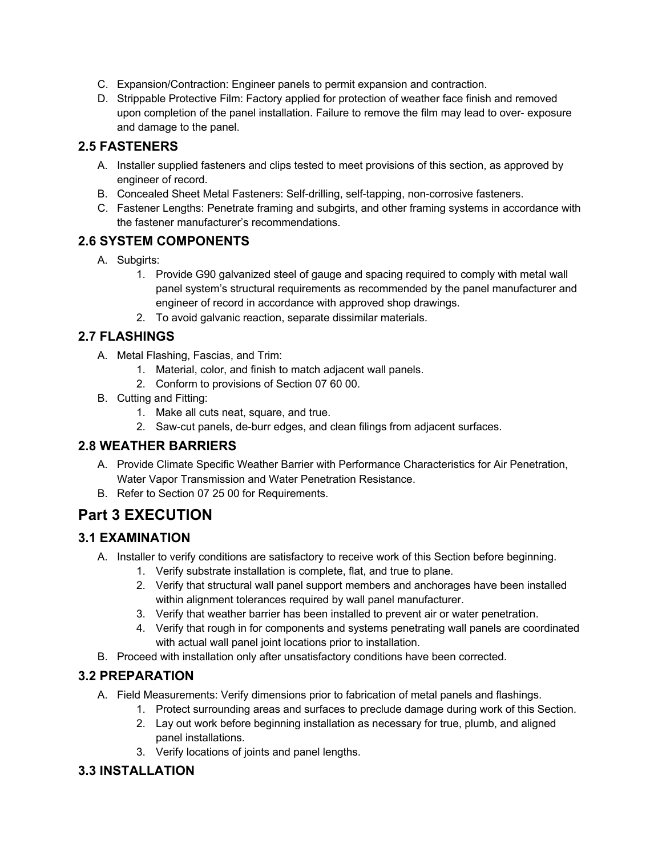- C. Expansion/Contraction: Engineer panels to permit expansion and contraction.
- D. Strippable Protective Film: Factory applied for protection of weather face finish and removed upon completion of the panel installation. Failure to remove the film may lead to over- exposure and damage to the panel.

### **2.5 FASTENERS**

- A. Installer supplied fasteners and clips tested to meet provisions of this section, as approved by engineer of record.
- B. Concealed Sheet Metal Fasteners: Self-drilling, self-tapping, non-corrosive fasteners.
- C. Fastener Lengths: Penetrate framing and subgirts, and other framing systems in accordance with the fastener manufacturer's recommendations.

#### **2.6 SYSTEM COMPONENTS**

- A. Subgirts:
	- 1. Provide G90 galvanized steel of gauge and spacing required to comply with metal wall panel system's structural requirements as recommended by the panel manufacturer and engineer of record in accordance with approved shop drawings.
	- 2. To avoid galvanic reaction, separate dissimilar materials.

#### **2.7 FLASHINGS**

- A. Metal Flashing, Fascias, and Trim:
	- 1. Material, color, and finish to match adjacent wall panels.
	- 2. Conform to provisions of Section 07 60 00.
- B. Cutting and Fitting:
	- 1. Make all cuts neat, square, and true.
	- 2. Saw-cut panels, de-burr edges, and clean filings from adjacent surfaces.

#### **2.8 WEATHER BARRIERS**

- A. Provide Climate Specific Weather Barrier with Performance Characteristics for Air Penetration, Water Vapor Transmission and Water Penetration Resistance.
- B. Refer to Section 07 25 00 for Requirements.

# **Part 3 EXECUTION**

#### **3.1 EXAMINATION**

- A. Installer to verify conditions are satisfactory to receive work of this Section before beginning.
	- 1. Verify substrate installation is complete, flat, and true to plane.
	- 2. Verify that structural wall panel support members and anchorages have been installed within alignment tolerances required by wall panel manufacturer.
	- 3. Verify that weather barrier has been installed to prevent air or water penetration.
	- 4. Verify that rough in for components and systems penetrating wall panels are coordinated with actual wall panel joint locations prior to installation.
- B. Proceed with installation only after unsatisfactory conditions have been corrected.

#### **3.2 PREPARATION**

- A. Field Measurements: Verify dimensions prior to fabrication of metal panels and flashings.
	- 1. Protect surrounding areas and surfaces to preclude damage during work of this Section.
	- 2. Lay out work before beginning installation as necessary for true, plumb, and aligned panel installations.
	- 3. Verify locations of joints and panel lengths.

#### **3.3 INSTALLATION**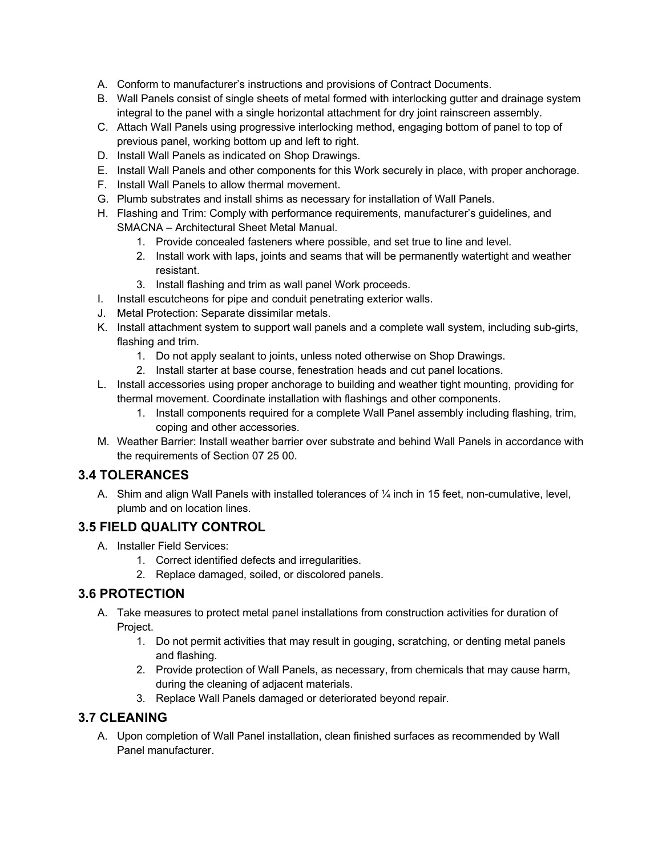- A. Conform to manufacturer's instructions and provisions of Contract Documents.
- B. Wall Panels consist of single sheets of metal formed with interlocking gutter and drainage system integral to the panel with a single horizontal attachment for dry joint rainscreen assembly.
- C. Attach Wall Panels using progressive interlocking method, engaging bottom of panel to top of previous panel, working bottom up and left to right.
- D. Install Wall Panels as indicated on Shop Drawings.
- E. Install Wall Panels and other components for this Work securely in place, with proper anchorage.
- F. Install Wall Panels to allow thermal movement.
- G. Plumb substrates and install shims as necessary for installation of Wall Panels.
- H. Flashing and Trim: Comply with performance requirements, manufacturer's guidelines, and SMACNA – Architectural Sheet Metal Manual.
	- 1. Provide concealed fasteners where possible, and set true to line and level.
	- 2. Install work with laps, joints and seams that will be permanently watertight and weather resistant.
	- 3. Install flashing and trim as wall panel Work proceeds.
- I. Install escutcheons for pipe and conduit penetrating exterior walls.
- J. Metal Protection: Separate dissimilar metals.
- K. Install attachment system to support wall panels and a complete wall system, including sub-girts, flashing and trim.
	- 1. Do not apply sealant to joints, unless noted otherwise on Shop Drawings.
	- 2. Install starter at base course, fenestration heads and cut panel locations.
- L. Install accessories using proper anchorage to building and weather tight mounting, providing for thermal movement. Coordinate installation with flashings and other components.
	- 1. Install components required for a complete Wall Panel assembly including flashing, trim, coping and other accessories.
- M. Weather Barrier: Install weather barrier over substrate and behind Wall Panels in accordance with the requirements of Section 07 25 00.

#### **3.4 TOLERANCES**

A. Shim and align Wall Panels with installed tolerances of ¼ inch in 15 feet, non-cumulative, level, plumb and on location lines.

#### **3.5 FIELD QUALITY CONTROL**

- A. Installer Field Services:
	- 1. Correct identified defects and irregularities.
	- 2. Replace damaged, soiled, or discolored panels.

#### **3.6 PROTECTION**

- A. Take measures to protect metal panel installations from construction activities for duration of Project.
	- 1. Do not permit activities that may result in gouging, scratching, or denting metal panels and flashing.
	- 2. Provide protection of Wall Panels, as necessary, from chemicals that may cause harm, during the cleaning of adjacent materials.
	- 3. Replace Wall Panels damaged or deteriorated beyond repair.

#### **3.7 CLEANING**

A. Upon completion of Wall Panel installation, clean finished surfaces as recommended by Wall Panel manufacturer.